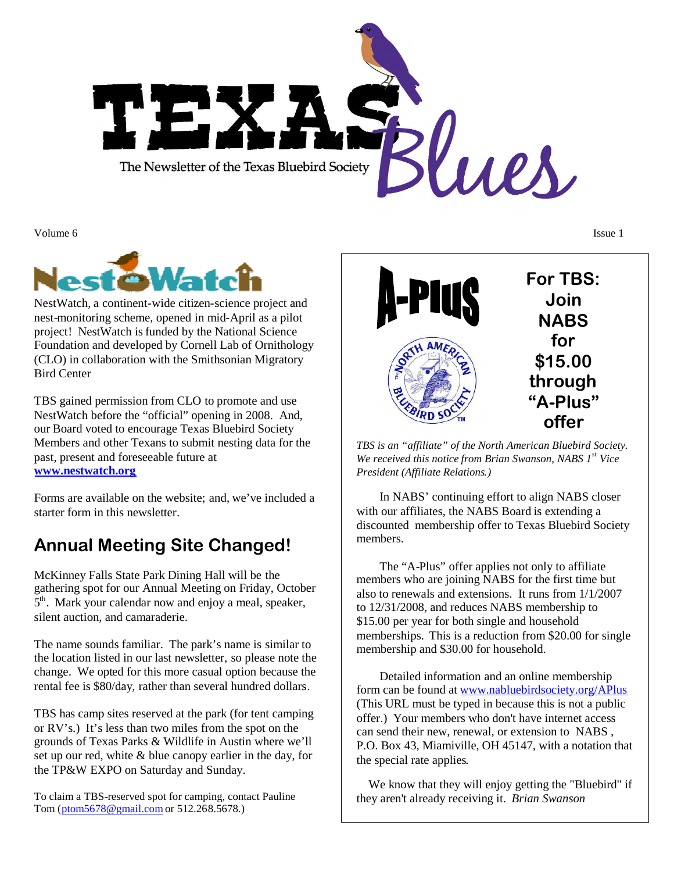

Volume 6 **Issue 1** 



NestWatch, a continent-wide citizen-science project and nest-monitoring scheme, opened in mid-April as a pilot project! NestWatch is funded by the National Science Foundation and developed by Cornell Lab of Ornithology (CLO) in collaboration with the Smithsonian Migratory Bird Center

TBS gained permission from CLO to promote and use NestWatch before the "official" opening in 2008. And, our Board voted to encourage Texas Bluebird Society Members and other Texans to submit nesting data for the past, present and foreseeable future at **[www.nestwatch.org](http://www.nestwatch.org/)**

Forms are available on the website; and, we've included a starter form in this newsletter.

# **Annual Meeting Site Changed!**

McKinney Falls State Park Dining Hall will be the gathering spot for our Annual Meeting on Friday, October 5<sup>th</sup>. Mark your calendar now and enjoy a meal, speaker, silent auction, and camaraderie.

The name sounds familiar. The park's name is similar to the location listed in our last newsletter, so please note the change. We opted for this more casual option because the rental fee is \$80/day, rather than several hundred dollars.

TBS has camp sites reserved at the park (for tent camping or RV's.) It's less than two miles from the spot on the grounds of Texas Parks & Wildlife in Austin where we'll set up our red, white & blue canopy earlier in the day, for the TP&W EXPO on Saturday and Sunday.

To claim a TBS-reserved spot for camping, contact Pauline Tom([ptom5678@gmail.com](mailto:ptom5678@gmail.com) or 512.268.5678.)



*TBS is an "affiliate" of the North American Bluebird Society. We received this notice from Brian Swanson, NABS 1st Vice President (Affiliate Relations.)*

In NABS' continuing effort to align NABS closer with our affiliates, the NABS Board is extending a discounted membership offer to Texas Bluebird Society members.

The "A-Plus" offer applies not only to affiliate members who are joining NABS for the first time but also to renewals and extensions. It runs from 1/1/2007 to 12/31/2008, and reduces NABS membership to \$15.00 per year for both single and household memberships. This is a reduction from \$20.00 for single membership and \$30.00 for household.

Detailed information and an online membership form can be found at [www.nabluebirdsociety.org/APlus](http://www.nabluebirdsociety.org/APlus) (This URL must be typed in because this is not a public offer.) Your members who don't have internet access can send their new, renewal, or extension to NABS , P.O. Box 43, Miamiville, OH 45147, with a notation that the special rate applies.

We know that they will enjoy getting the "Bluebird" if they aren't already receiving it. *Brian Swanson*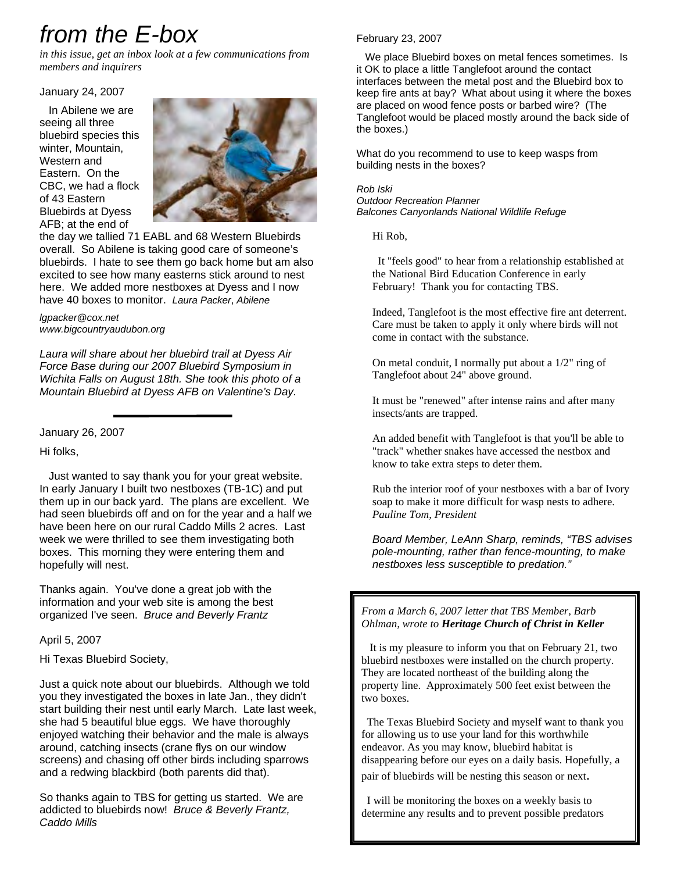# *from the E-box*

*in this issue, get an inbox look at a few communications from members and inquirers*

January 24, 2007

 In Abilene we are seeing all three bluebird species this winter, Mountain, Western and Eastern. On the CBC, we had a flock of 43 Eastern Bluebirds at Dyess AFB; at the end of



the day we tallied 71 EABL and 68 Western Bluebirds overall. So Abilene is taking good care of someone's bluebirds. I hate to see them go back home but am also excited to see how many easterns stick around to nest here. We added more nestboxes at Dyess and I now have 40 boxes to monitor. *Laura Packer*, *Abilene*

*lgpacker@cox.net www.bigcountryaudubon.org*

*Laura will share about her bluebird trail at Dyess Air Force Base during our 2007 Bluebird Symposium in Wichita Falls on August 18th. She took this photo of a Mountain Bluebird at Dyess AFB on Valentine's Day.*

January 26, 2007

Hi folks,

 Just wanted to say thank you for your great website. In early January I built two nestboxes (TB-1C) and put them up in our back yard. The plans are excellent. We had seen bluebirds off and on for the year and a half we have been here on our rural Caddo Mills 2 acres. Last week we were thrilled to see them investigating both boxes. This morning they were entering them and hopefully will nest.

Thanks again. You've done a great job with the information and your web site is among the best organized I've seen. *Bruce and Beverly Frantz*

April 5, 2007

Hi Texas Bluebird Society,

Just a quick note about our bluebirds. Although we told you they investigated the boxes in late Jan., they didn't start building their nest until early March. Late last week, she had 5 beautiful blue eggs. We have thoroughly enjoyed watching their behavior and the male is always around, catching insects (crane flys on our window screens) and chasing off other birds including sparrows and a redwing blackbird (both parents did that).

So thanks again to TBS for getting us started. We are addicted to bluebirds now! *Bruce & Beverly Frantz, Caddo Mills*

### February 23, 2007

 We place Bluebird boxes on metal fences sometimes. Is it OK to place a little Tanglefoot around the contact interfaces between the metal post and the Bluebird box to keep fire ants at bay? What about using it where the boxes are placed on wood fence posts or barbed wire? (The Tanglefoot would be placed mostly around the back side of the boxes.)

What do you recommend to use to keep wasps from building nests in the boxes?

### *Rob Iski*

*Outdoor Recreation Planner Balcones Canyonlands National Wildlife Refuge*

Hi Rob,

 It "feels good" to hear from a relationship established at the National Bird Education Conference in early February! Thank you for contacting TBS.

Indeed, Tanglefoot is the most effective fire ant deterrent. Care must be taken to apply it only where birds will not come in contact with the substance.

On metal conduit, I normally put about a 1/2" ring of Tanglefoot about 24" above ground.

It must be "renewed" after intense rains and after many insects/ants are trapped.

An added benefit with Tanglefoot is that you'll be able to "track" whether snakes have accessed the nestbox and know to take extra steps to deter them.

Rub the interior roof of your nestboxes with a bar of Ivory soap to make it more difficult for wasp nests to adhere. *Pauline Tom, President*

*Board Member, LeAnn Sharp, reminds, "TBS advises pole-mounting, rather than fence-mounting, to make nestboxes less susceptible to predation."*

*From a March 6, 2007 letter that TBS Member, Barb Ohlman, wrote to Heritage Church of Christ in Keller*

 It is my pleasure to inform you that on February 21, two bluebird nestboxes were installed on the church property. They are located northeast of the building along the property line. Approximately 500 feet exist between the two boxes.

 The Texas Bluebird Society and myself want to thank you for allowing us to use your land for this worthwhile endeavor. As you may know, bluebird habitat is disappearing before our eyes on a daily basis. Hopefully, a pair of bluebirds will be nesting this season or next.

 I will be monitoring the boxes on a weekly basis to determine any results and to prevent possible predators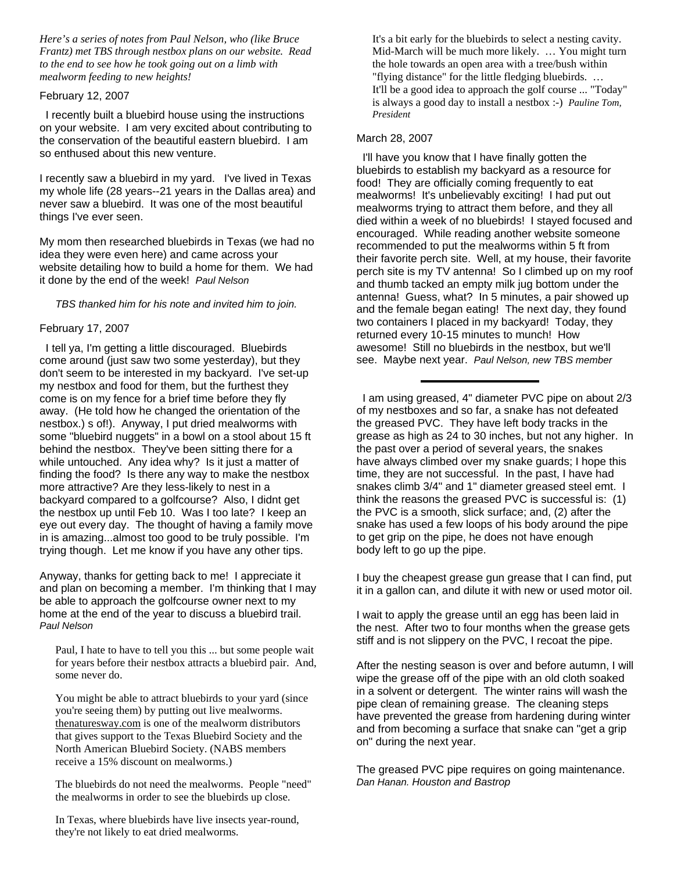*Here's a series of notes from Paul Nelson, who (like Bruce Frantz) met TBS through nestbox plans on our website. Read to the end to see how he took going out on a limb with mealworm feeding to new heights!*

#### February 12, 2007

 I recently built a bluebird house using the instructions on your website. I am very excited about contributing to the conservation of the beautiful eastern bluebird. I am so enthused about this new venture.

I recently saw a bluebird in my yard. I've lived in Texas my whole life (28 years--21 years in the Dallas area) and never saw a bluebird. It was one of the most beautiful things I've ever seen.

My mom then researched bluebirds in Texas (we had no idea they were even here) and came across your website detailing how to build a home for them. We had it done by the end of the week! *Paul Nelson*

#### *TBS thanked him for his note and invited him to join.*

### February 17, 2007

 I tell ya, I'm getting a little discouraged. Bluebirds come around (just saw two some yesterday), but they don't seem to be interested in my backyard. I've set-up my nestbox and food for them, but the furthest they come is on my fence for a brief time before they fly away. (He told how he changed the orientation of the nestbox.) s of!). Anyway, I put dried mealworms with some "bluebird nuggets" in a bowl on a stool about 15 ft behind the nestbox. They've been sitting there for a while untouched. Any idea why? Is it just a matter of finding the food? Is there any way to make the nestbox more attractive? Are they less-likely to nest in a backyard compared to a golfcourse? Also, I didnt get the nestbox up until Feb 10. Was I too late? I keep an eye out every day. The thought of having a family move in is amazing...almost too good to be truly possible. I'm trying though. Let me know if you have any other tips.

Anyway, thanks for getting back to me! I appreciate it and plan on becoming a member. I'm thinking that I may be able to approach the golfcourse owner next to my home at the end of the year to discuss a bluebird trail. *Paul Nelson*

Paul, I hate to have to tell you this ... but some people wait for years before their nestbox attracts a bluebird pair. And, some never do.

You might be able to attract bluebirds to your yard (since you're seeing them) by putting out live mealworms. thenaturesway.com is one of the mealworm distributors that gives support to the Texas Bluebird Society and the North American Bluebird Society. (NABS members receive a 15% discount on mealworms.)

The bluebirds do not need the mealworms. People "need" the mealworms in order to see the bluebirds up close.

In Texas, where bluebirds have live insects year-round, they're not likely to eat dried mealworms.

It's a bit early for the bluebirds to select a nesting cavity. Mid-March will be much more likely. … You might turn the hole towards an open area with a tree/bush within "flying distance" for the little fledging bluebirds. … It'll be a good idea to approach the golf course ... "Today" is always a good day to install a nestbox :-) *Pauline Tom, President*

### March 28, 2007

 I'll have you know that I have finally gotten the bluebirds to establish my backyard as a resource for food! They are officially coming frequently to eat mealworms! It's unbelievably exciting! I had put out mealworms trying to attract them before, and they all died within a week of no bluebirds! I stayed focused and encouraged. While reading another website someone recommended to put the mealworms within 5 ft from their favorite perch site. Well, at my house, their favorite perch site is my TV antenna! So I climbed up on my roof and thumb tacked an empty milk jug bottom under the antenna! Guess, what? In 5 minutes, a pair showed up and the female began eating! The next day, they found two containers I placed in my backyard! Today, they returned every 10-15 minutes to munch! How awesome! Still no bluebirds in the nestbox, but we'll see. Maybe next year. *Paul Nelson, new TBS member*

 I am using greased, 4" diameter PVC pipe on about 2/3 of my nestboxes and so far, a snake has not defeated the greased PVC. They have left body tracks in the grease as high as 24 to 30 inches, but not any higher. In the past over a period of several years, the snakes have always climbed over my snake guards; I hope this time, they are not successful. In the past, I have had snakes climb 3/4" and 1" diameter greased steel emt. I think the reasons the greased PVC is successful is: (1) the PVC is a smooth, slick surface; and, (2) after the snake has used a few loops of his body around the pipe to get grip on the pipe, he does not have enough body left to go up the pipe.

I buy the cheapest grease gun grease that I can find, put it in a gallon can, and dilute it with new or used motor oil.

I wait to apply the grease until an egg has been laid in the nest. After two to four months when the grease gets stiff and is not slippery on the PVC, I recoat the pipe.

After the nesting season is over and before autumn, I will wipe the grease off of the pipe with an old cloth soaked in a solvent or detergent. The winter rains will wash the pipe clean of remaining grease. The cleaning steps have prevented the grease from hardening during winter and from becoming a surface that snake can "get a grip on" during the next year.

The greased PVC pipe requires on going maintenance. *Dan Hanan. Houston and Bastrop*